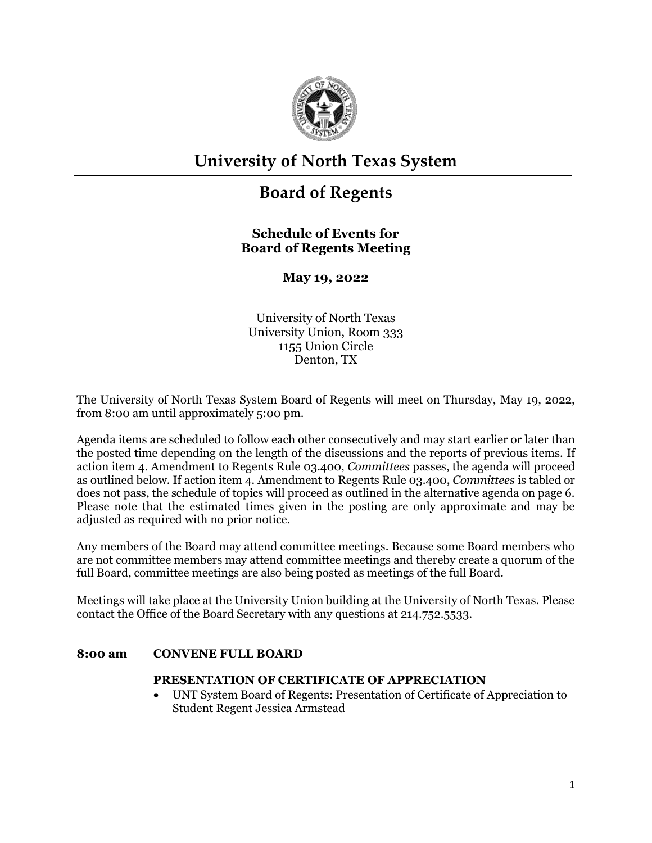

# **University of North Texas System**

# **Board of Regents**

# **Schedule of Events for Board of Regents Meeting**

**May 19, 2022**

University of North Texas University Union, Room 333 1155 Union Circle Denton, TX

The University of North Texas System Board of Regents will meet on Thursday, May 19, 2022, from 8:00 am until approximately 5:00 pm.

Agenda items are scheduled to follow each other consecutively and may start earlier or later than the posted time depending on the length of the discussions and the reports of previous items. If action item 4. Amendment to Regents Rule 03.400, *Committees* passes, the agenda will proceed as outlined below. If action item 4. Amendment to Regents Rule 03.400, *Committees* is tabled or does not pass, the schedule of topics will proceed as outlined in the alternative agenda on page 6. Please note that the estimated times given in the posting are only approximate and may be adjusted as required with no prior notice.

Any members of the Board may attend committee meetings. Because some Board members who are not committee members may attend committee meetings and thereby create a quorum of the full Board, committee meetings are also being posted as meetings of the full Board.

Meetings will take place at the University Union building at the University of North Texas. Please contact the Office of the Board Secretary with any questions at 214.752.5533.

## **8:00 am CONVENE FULL BOARD**

## **PRESENTATION OF CERTIFICATE OF APPRECIATION**

• UNT System Board of Regents: Presentation of Certificate of Appreciation to Student Regent Jessica Armstead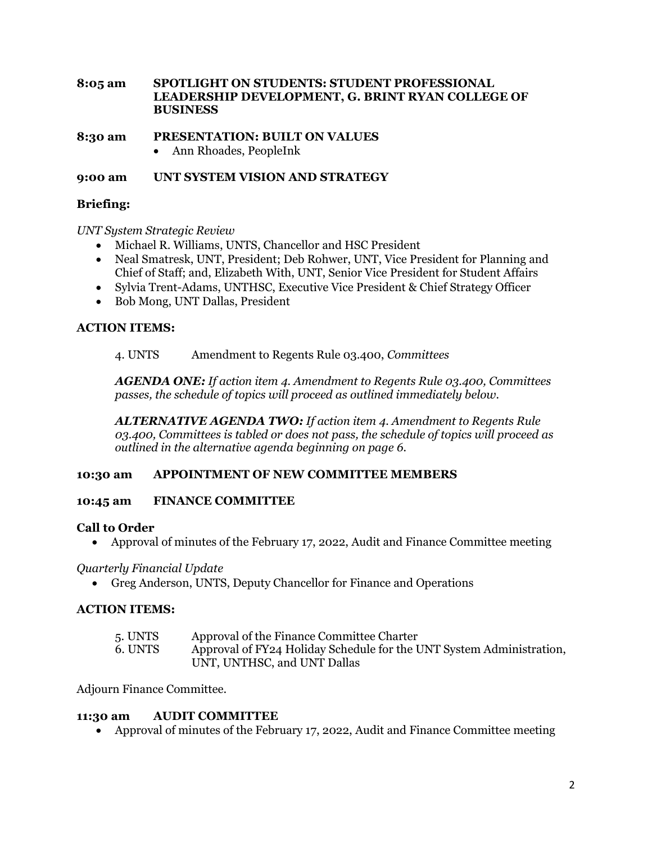**8:05 am SPOTLIGHT ON STUDENTS: STUDENT PROFESSIONAL LEADERSHIP DEVELOPMENT, G. BRINT RYAN COLLEGE OF BUSINESS** 

**8:30 am PRESENTATION: BUILT ON VALUES**

• Ann Rhoades, PeopleInk

**9:00 am UNT SYSTEM VISION AND STRATEGY**

# **Briefing:**

*UNT System Strategic Review* 

- Michael R. Williams, UNTS, Chancellor and HSC President
- Neal Smatresk, UNT, President; Deb Rohwer, UNT, Vice President for Planning and Chief of Staff; and, Elizabeth With, UNT, Senior Vice President for Student Affairs
- Sylvia Trent-Adams, UNTHSC, Executive Vice President & Chief Strategy Officer
- Bob Mong, UNT Dallas, President

## **ACTION ITEMS:**

#### 4. UNTS Amendment to Regents Rule 03.400, *Committees*

*AGENDA ONE: If action item 4. Amendment to Regents Rule 03.400, Committees passes, the schedule of topics will proceed as outlined immediately below.*

*ALTERNATIVE AGENDA TWO: If action item 4. Amendment to Regents Rule 03.400, Committees is tabled or does not pass, the schedule of topics will proceed as outlined in the alternative agenda beginning on page 6.*

# **10:30 am APPOINTMENT OF NEW COMMITTEE MEMBERS**

## **10:45 am FINANCE COMMITTEE**

## **Call to Order**

• Approval of minutes of the February 17, 2022, Audit and Finance Committee meeting

#### *Quarterly Financial Update*

• Greg Anderson, UNTS, Deputy Chancellor for Finance and Operations

## **ACTION ITEMS:**

- 5. UNTS Approval of the Finance Committee Charter
- 6. UNTS Approval of FY24 Holiday Schedule for the UNT System Administration, UNT, UNTHSC, and UNT Dallas

Adjourn Finance Committee.

#### **11:30 am AUDIT COMMITTEE**

• Approval of minutes of the February 17, 2022, Audit and Finance Committee meeting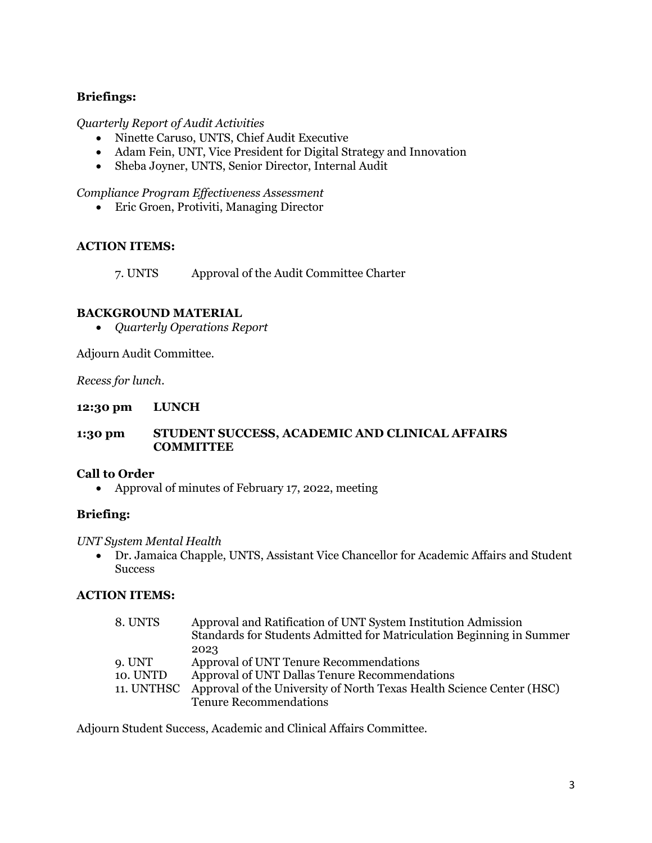# **Briefings:**

## *Quarterly Report of Audit Activities*

- Ninette Caruso, UNTS, Chief Audit Executive
- Adam Fein, UNT, Vice President for Digital Strategy and Innovation
- Sheba Joyner, UNTS, Senior Director, Internal Audit

*Compliance Program Effectiveness Assessment*

• Eric Groen, Protiviti, Managing Director

## **ACTION ITEMS:**

7. UNTS Approval of the Audit Committee Charter

# **BACKGROUND MATERIAL**

• *Quarterly Operations Report*

Adjourn Audit Committee.

*Recess for lunch.*

**12:30 pm LUNCH**

#### **1:30 pm STUDENT SUCCESS, ACADEMIC AND CLINICAL AFFAIRS COMMITTEE**

## **Call to Order**

• Approval of minutes of February 17, 2022, meeting

## **Briefing:**

## *UNT System Mental Health*

• Dr. Jamaica Chapple, UNTS, Assistant Vice Chancellor for Academic Affairs and Student **Success** 

## **ACTION ITEMS:**

| 8. UNTS    | Approval and Ratification of UNT System Institution Admission<br>Standards for Students Admitted for Matriculation Beginning in Summer |
|------------|----------------------------------------------------------------------------------------------------------------------------------------|
|            | 2023                                                                                                                                   |
| 9. UNT     | Approval of UNT Tenure Recommendations                                                                                                 |
| 10. UNTD   | Approval of UNT Dallas Tenure Recommendations                                                                                          |
| 11. UNTHSC | Approval of the University of North Texas Health Science Center (HSC)                                                                  |
|            | <b>Tenure Recommendations</b>                                                                                                          |

Adjourn Student Success, Academic and Clinical Affairs Committee.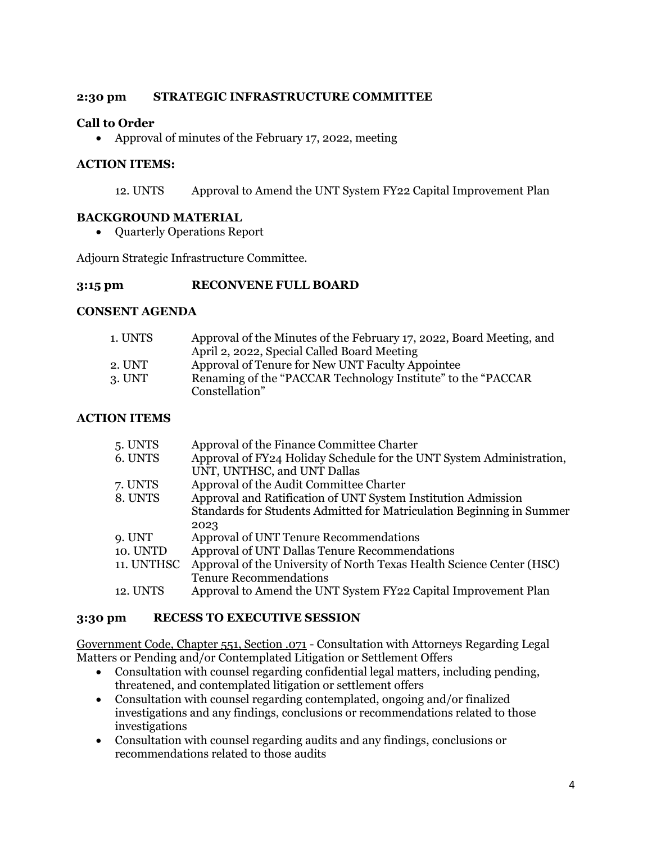# **2:30 pm STRATEGIC INFRASTRUCTURE COMMITTEE**

# **Call to Order**

• Approval of minutes of the February 17, 2022, meeting

# **ACTION ITEMS:**

12. UNTS Approval to Amend the UNT System FY22 Capital Improvement Plan

# **BACKGROUND MATERIAL**

• Quarterly Operations Report

Adjourn Strategic Infrastructure Committee.

## **3:15 pm RECONVENE FULL BOARD**

## **CONSENT AGENDA**

| 1. UNTS | Approval of the Minutes of the February 17, 2022, Board Meeting, and |
|---------|----------------------------------------------------------------------|
|         | April 2, 2022, Special Called Board Meeting                          |
| 2. UNT  | Approval of Tenure for New UNT Faculty Appointee                     |
| 3. UNT  | Renaming of the "PACCAR Technology Institute" to the "PACCAR         |
|         | Constellation"                                                       |

# **ACTION ITEMS**

| 5. UNTS    | Approval of the Finance Committee Charter                             |
|------------|-----------------------------------------------------------------------|
| 6. UNTS    | Approval of FY24 Holiday Schedule for the UNT System Administration,  |
|            | UNT, UNTHSC, and UNT Dallas                                           |
| 7. UNTS    | Approval of the Audit Committee Charter                               |
| 8. UNTS    | Approval and Ratification of UNT System Institution Admission         |
|            | Standards for Students Admitted for Matriculation Beginning in Summer |
|            | 2023                                                                  |
| 9. UNT     | Approval of UNT Tenure Recommendations                                |
| 10. UNTD   | Approval of UNT Dallas Tenure Recommendations                         |
| 11. UNTHSC | Approval of the University of North Texas Health Science Center (HSC) |
|            | <b>Tenure Recommendations</b>                                         |
| 12. UNTS   | Approval to Amend the UNT System FY22 Capital Improvement Plan        |

## **3:30 pm RECESS TO EXECUTIVE SESSION**

Government Code, Chapter 551, Section .071 - Consultation with Attorneys Regarding Legal Matters or Pending and/or Contemplated Litigation or Settlement Offers

- Consultation with counsel regarding confidential legal matters, including pending, threatened, and contemplated litigation or settlement offers
- Consultation with counsel regarding contemplated, ongoing and/or finalized investigations and any findings, conclusions or recommendations related to those investigations
- Consultation with counsel regarding audits and any findings, conclusions or recommendations related to those audits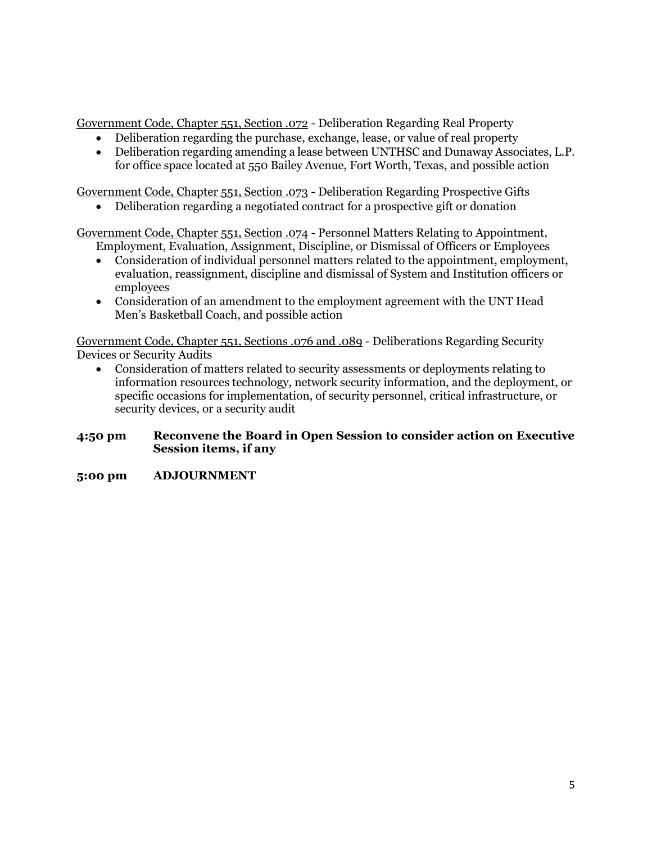Government Code, Chapter 551, Section .072 - Deliberation Regarding Real Property

- Deliberation regarding the purchase, exchange, lease, or value of real property
- Deliberation regarding amending a lease between UNTHSC and Dunaway Associates, L.P. for office space located at 550 Bailey Avenue, Fort Worth, Texas, and possible action

Government Code, Chapter 551, Section .073 - Deliberation Regarding Prospective Gifts

• Deliberation regarding a negotiated contract for a prospective gift or donation

Government Code, Chapter 551, Section .074 - Personnel Matters Relating to Appointment, Employment, Evaluation, Assignment, Discipline, or Dismissal of Officers or Employees

- Consideration of individual personnel matters related to the appointment, employment, evaluation, reassignment, discipline and dismissal of System and Institution officers or employees
- Consideration of an amendment to the employment agreement with the UNT Head Men's Basketball Coach, and possible action

Government Code, Chapter 551, Sections .076 and .089 - Deliberations Regarding Security Devices or Security Audits

• Consideration of matters related to security assessments or deployments relating to information resources technology, network security information, and the deployment, or specific occasions for implementation, of security personnel, critical infrastructure, or security devices, or a security audit

## **4:50 pm Reconvene the Board in Open Session to consider action on Executive Session items, if any**

## **5:00 pm ADJOURNMENT**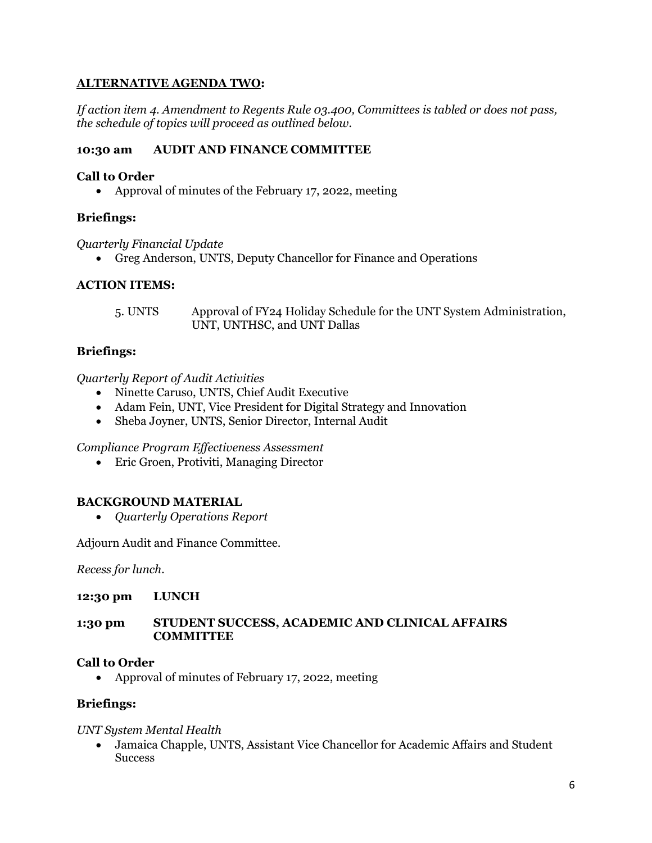# **ALTERNATIVE AGENDA TWO:**

*If action item 4. Amendment to Regents Rule 03.400, Committees is tabled or does not pass, the schedule of topics will proceed as outlined below.*

## **10:30 am AUDIT AND FINANCE COMMITTEE**

#### **Call to Order**

• Approval of minutes of the February 17, 2022, meeting

## **Briefings:**

*Quarterly Financial Update* 

• Greg Anderson, UNTS, Deputy Chancellor for Finance and Operations

#### **ACTION ITEMS:**

5. UNTS Approval of FY24 Holiday Schedule for the UNT System Administration, UNT, UNTHSC, and UNT Dallas

## **Briefings:**

#### *Quarterly Report of Audit Activities*

- Ninette Caruso, UNTS, Chief Audit Executive
- Adam Fein, UNT, Vice President for Digital Strategy and Innovation
- Sheba Joyner, UNTS, Senior Director, Internal Audit

*Compliance Program Effectiveness Assessment* 

• Eric Groen, Protiviti, Managing Director

## **BACKGROUND MATERIAL**

• *Quarterly Operations Report*

Adjourn Audit and Finance Committee.

*Recess for lunch.*

#### **12:30 pm LUNCH**

#### **1:30 pm STUDENT SUCCESS, ACADEMIC AND CLINICAL AFFAIRS COMMITTEE**

## **Call to Order**

• Approval of minutes of February 17, 2022, meeting

#### **Briefings:**

#### *UNT System Mental Health*

• Jamaica Chapple, UNTS, Assistant Vice Chancellor for Academic Affairs and Student **Success**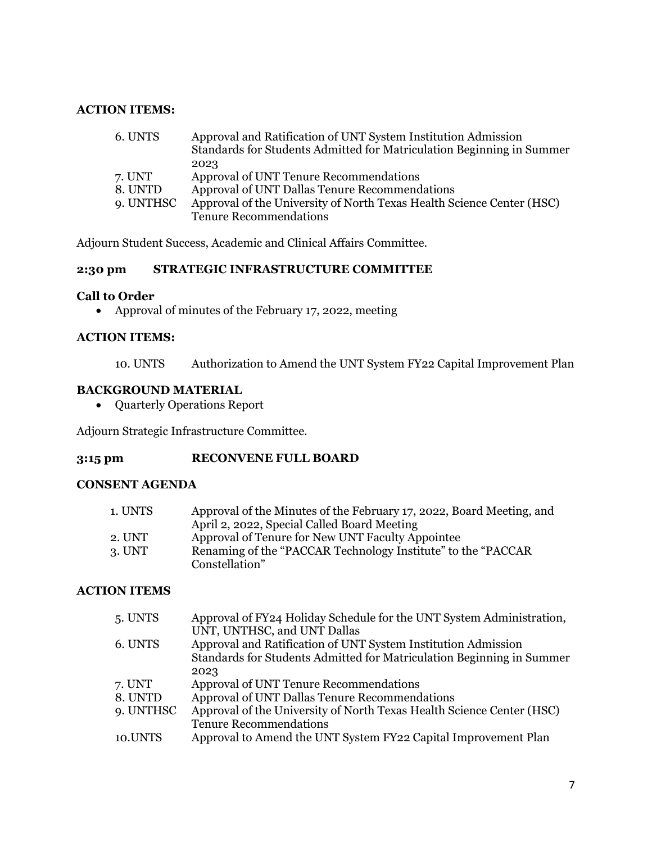## **ACTION ITEMS:**

| 6. UNTS   | Approval and Ratification of UNT System Institution Admission         |
|-----------|-----------------------------------------------------------------------|
|           | Standards for Students Admitted for Matriculation Beginning in Summer |
|           | 2023                                                                  |
| 7. UNT    | Approval of UNT Tenure Recommendations                                |
| 8. UNTD   | Approval of UNT Dallas Tenure Recommendations                         |
| 9. UNTHSC | Approval of the University of North Texas Health Science Center (HSC) |
|           | <b>Tenure Recommendations</b>                                         |

Adjourn Student Success, Academic and Clinical Affairs Committee.

# **2:30 pm STRATEGIC INFRASTRUCTURE COMMITTEE**

#### **Call to Order**

• Approval of minutes of the February 17, 2022, meeting

## **ACTION ITEMS:**

10. UNTS Authorization to Amend the UNT System FY22 Capital Improvement Plan

# **BACKGROUND MATERIAL**

• Quarterly Operations Report

Adjourn Strategic Infrastructure Committee.

#### **3:15 pm RECONVENE FULL BOARD**

#### **CONSENT AGENDA**

| 1. UNTS | Approval of the Minutes of the February 17, 2022, Board Meeting, and |
|---------|----------------------------------------------------------------------|
|         | April 2, 2022, Special Called Board Meeting                          |
| 2. UNT  | Approval of Tenure for New UNT Faculty Appointee                     |
| 3. UNT  | Renaming of the "PACCAR Technology Institute" to the "PACCAR         |
|         | Constellation"                                                       |

#### **ACTION ITEMS**

| 5. UNTS   | Approval of FY24 Holiday Schedule for the UNT System Administration,  |
|-----------|-----------------------------------------------------------------------|
|           | UNT, UNTHSC, and UNT Dallas                                           |
| 6. UNTS   | Approval and Ratification of UNT System Institution Admission         |
|           | Standards for Students Admitted for Matriculation Beginning in Summer |
|           | 2023                                                                  |
| 7. UNT    | Approval of UNT Tenure Recommendations                                |
| 8. UNTD   | Approval of UNT Dallas Tenure Recommendations                         |
| 9. UNTHSC | Approval of the University of North Texas Health Science Center (HSC) |
|           | <b>Tenure Recommendations</b>                                         |
| 10.UNTS   | Approval to Amend the UNT System FY22 Capital Improvement Plan        |